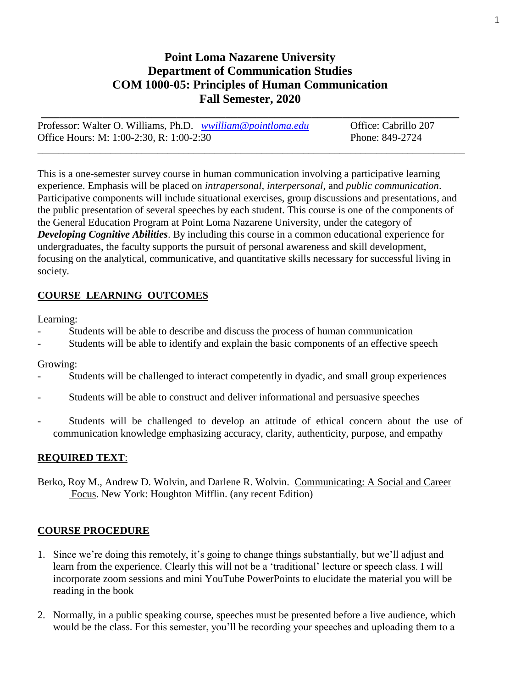# **Point Loma Nazarene University Department of Communication Studies COM 1000-05: Principles of Human Communication Fall Semester, 2020**

| Professor: Walter O. Williams, Ph.D. wwilliam@pointloma.edu | Office: Cabrillo 207 |
|-------------------------------------------------------------|----------------------|
| Office Hours: M: 1:00-2:30, R: 1:00-2:30                    | Phone: 849-2724      |

This is a one-semester survey course in human communication involving a participative learning experience. Emphasis will be placed on *intrapersonal, interpersonal*, and *public communication*. Participative components will include situational exercises, group discussions and presentations, and the public presentation of several speeches by each student. This course is one of the components of the General Education Program at Point Loma Nazarene University, under the category of *Developing Cognitive Abilities*. By including this course in a common educational experience for undergraduates, the faculty supports the pursuit of personal awareness and skill development, focusing on the analytical, communicative, and quantitative skills necessary for successful living in society.

# **COURSE LEARNING OUTCOMES**

Learning:

- Students will be able to describe and discuss the process of human communication
- Students will be able to identify and explain the basic components of an effective speech

## Growing:

- Students will be challenged to interact competently in dyadic, and small group experiences
- Students will be able to construct and deliver informational and persuasive speeches
- Students will be challenged to develop an attitude of ethical concern about the use of communication knowledge emphasizing accuracy, clarity, authenticity, purpose, and empathy

# **REQUIRED TEXT**:

Berko, Roy M., Andrew D. Wolvin, and Darlene R. Wolvin. Communicating: A Social and Career Focus. New York: Houghton Mifflin. (any recent Edition)

# **COURSE PROCEDURE**

- 1. Since we're doing this remotely, it's going to change things substantially, but we'll adjust and learn from the experience. Clearly this will not be a 'traditional' lecture or speech class. I will incorporate zoom sessions and mini YouTube PowerPoints to elucidate the material you will be reading in the book
- 2. Normally, in a public speaking course, speeches must be presented before a live audience, which would be the class. For this semester, you'll be recording your speeches and uploading them to a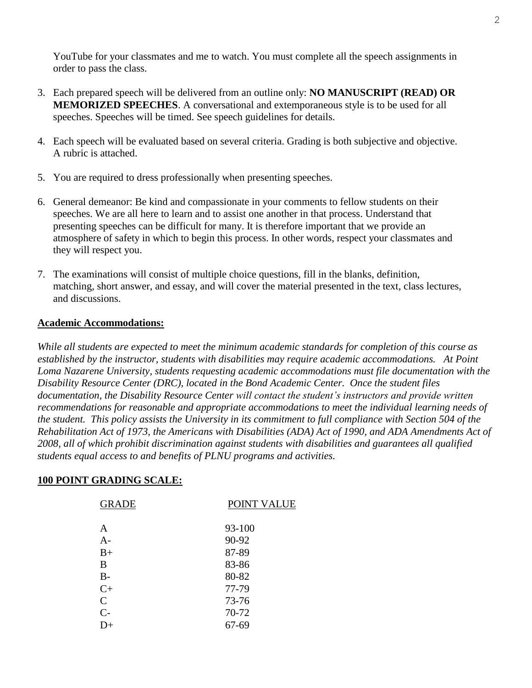YouTube for your classmates and me to watch. You must complete all the speech assignments in order to pass the class.

- 3. Each prepared speech will be delivered from an outline only: **NO MANUSCRIPT (READ) OR MEMORIZED SPEECHES**. A conversational and extemporaneous style is to be used for all speeches. Speeches will be timed. See speech guidelines for details.
- 4. Each speech will be evaluated based on several criteria. Grading is both subjective and objective. A rubric is attached.
- 5. You are required to dress professionally when presenting speeches.
- 6. General demeanor: Be kind and compassionate in your comments to fellow students on their speeches. We are all here to learn and to assist one another in that process. Understand that presenting speeches can be difficult for many. It is therefore important that we provide an atmosphere of safety in which to begin this process. In other words, respect your classmates and they will respect you.
- 7. The examinations will consist of multiple choice questions, fill in the blanks, definition, matching, short answer, and essay, and will cover the material presented in the text, class lectures, and discussions.

## **Academic Accommodations:**

*While all students are expected to meet the minimum academic standards for completion of this course as established by the instructor, students with disabilities may require academic accommodations. At Point Loma Nazarene University, students requesting academic accommodations must file documentation with the Disability Resource Center (DRC), located in the Bond Academic Center. Once the student files documentation, the Disability Resource Center will contact the student's instructors and provide written recommendations for reasonable and appropriate accommodations to meet the individual learning needs of the student. This policy assists the University in its commitment to full compliance with Section 504 of the Rehabilitation Act of 1973, the Americans with Disabilities (ADA) Act of 1990, and ADA Amendments Act of 2008, all of which prohibit discrimination against students with disabilities and guarantees all qualified students equal access to and benefits of PLNU programs and activities.*

# **100 POINT GRADING SCALE:**

| <b>GRADE</b> | POINT VALUE |
|--------------|-------------|
|              |             |
| A            | 93-100      |
| A-           | 90-92       |
| $B+$         | 87-89       |
| В            | 83-86       |
| $B-$         | 80-82       |
| $C+$         | 77-79       |
| $\mathsf{C}$ | 73-76       |
| $C-$         | 70-72       |
| D+           | $67 - 69$   |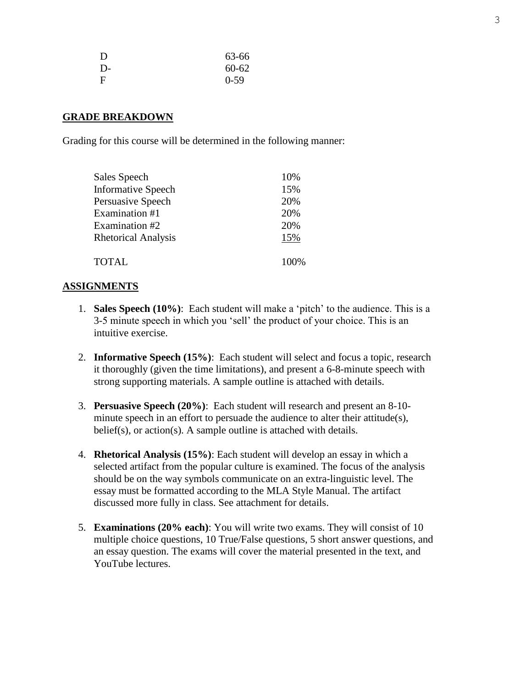| D           | 63-66     |
|-------------|-----------|
| $D-$        | $60 - 62$ |
| $\mathbf F$ | $0 - 59$  |

#### **GRADE BREAKDOWN**

Grading for this course will be determined in the following manner:

| Sales Speech               | 10%  |
|----------------------------|------|
| <b>Informative Speech</b>  | 15%  |
| Persuasive Speech          | 20%  |
| Examination #1             | 20%  |
| Examination #2             | 20%  |
| <b>Rhetorical Analysis</b> | 15%  |
| <b>TOTAL</b>               | 100% |

#### **ASSIGNMENTS**

- 1. **Sales Speech (10%)**: Each student will make a 'pitch' to the audience. This is a 3-5 minute speech in which you 'sell' the product of your choice. This is an intuitive exercise.
- 2. **Informative Speech (15%)**: Each student will select and focus a topic, research it thoroughly (given the time limitations), and present a 6-8-minute speech with strong supporting materials. A sample outline is attached with details.
- 3. **Persuasive Speech (20%)**: Each student will research and present an 8-10 minute speech in an effort to persuade the audience to alter their attitude(s), belief(s), or action(s). A sample outline is attached with details.
- 4. **Rhetorical Analysis (15%)**: Each student will develop an essay in which a selected artifact from the popular culture is examined. The focus of the analysis should be on the way symbols communicate on an extra-linguistic level. The essay must be formatted according to the MLA Style Manual. The artifact discussed more fully in class. See attachment for details.
- 5. **Examinations (20% each)**: You will write two exams. They will consist of 10 multiple choice questions, 10 True/False questions, 5 short answer questions, and an essay question. The exams will cover the material presented in the text, and YouTube lectures.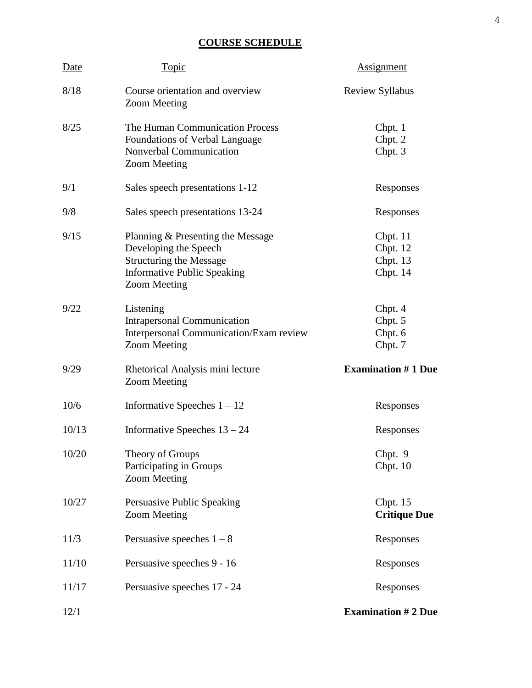# **COURSE SCHEDULE**

| Date  | Topic                                                                                                                                                     | <b>Assignment</b>                              |
|-------|-----------------------------------------------------------------------------------------------------------------------------------------------------------|------------------------------------------------|
| 8/18  | Course orientation and overview<br><b>Zoom Meeting</b>                                                                                                    | <b>Review Syllabus</b>                         |
| 8/25  | The Human Communication Process<br>Foundations of Verbal Language<br>Nonverbal Communication<br><b>Zoom Meeting</b>                                       | Chpt. 1<br>Chpt. 2<br>Chpt. 3                  |
| 9/1   | Sales speech presentations 1-12                                                                                                                           | Responses                                      |
| 9/8   | Sales speech presentations 13-24                                                                                                                          | Responses                                      |
| 9/15  | Planning & Presenting the Message<br>Developing the Speech<br><b>Structuring the Message</b><br><b>Informative Public Speaking</b><br><b>Zoom Meeting</b> | Chpt. $11$<br>Chpt. 12<br>Chpt. 13<br>Chpt. 14 |
| 9/22  | Listening<br><b>Intrapersonal Communication</b><br>Interpersonal Communication/Exam review<br><b>Zoom Meeting</b>                                         | Chpt. 4<br>Chpt. 5<br>Chpt. 6<br>Chpt. 7       |
| 9/29  | Rhetorical Analysis mini lecture<br><b>Zoom Meeting</b>                                                                                                   | <b>Examination #1 Due</b>                      |
| 10/6  | Informative Speeches $1 - 12$                                                                                                                             | Responses                                      |
| 10/13 | Informative Speeches $13 - 24$                                                                                                                            | Responses                                      |
| 10/20 | Theory of Groups<br>Participating in Groups<br><b>Zoom Meeting</b>                                                                                        | Chpt. 9<br>Chpt. 10                            |
| 10/27 | Persuasive Public Speaking<br><b>Zoom Meeting</b>                                                                                                         | Chpt. 15<br><b>Critique Due</b>                |
| 11/3  | Persuasive speeches $1 - 8$                                                                                                                               | Responses                                      |
| 11/10 | Persuasive speeches 9 - 16                                                                                                                                | Responses                                      |
| 11/17 | Persuasive speeches 17 - 24                                                                                                                               | Responses                                      |
| 12/1  |                                                                                                                                                           | <b>Examination #2 Due</b>                      |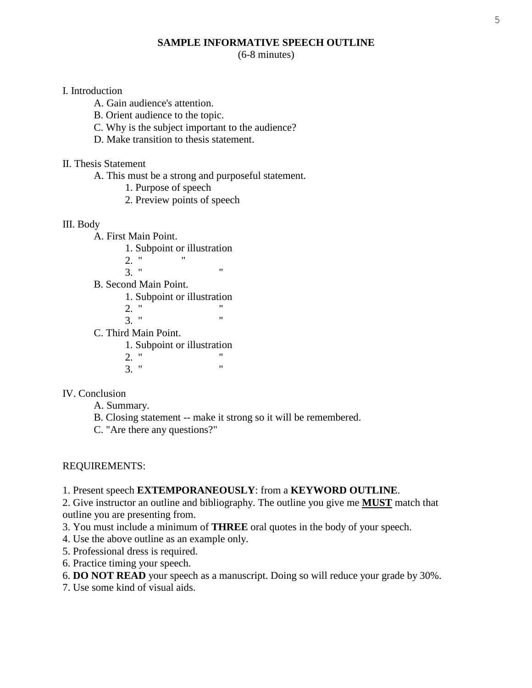## **SAMPLE INFORMATIVE SPEECH OUTLINE**

(6-8 minutes)

#### I. Introduction

- A. Gain audience's attention.
- B. Orient audience to the topic.
- C. Why is the subject important to the audience?
- D. Make transition to thesis statement.

## II. Thesis Statement

- A. This must be a strong and purposeful statement.
	- 1. Purpose of speech
	- 2. Preview points of speech

#### III. Body

- A. First Main Point.
	- 1. Subpoint or illustration
	- 2. " "
	- $3.$  "  $"$
- B. Second Main Point.
	- 1. Subpoint or illustration
	- 2. "  $\frac{1}{2}$  "
- $3.$  " C. Third Main Point.
	- 1. Subpoint or illustration
	- $\frac{2.}{2}$  "  $3.$  "

## IV. Conclusion

- A. Summary.
- B. Closing statement -- make it strong so it will be remembered.
- C. "Are there any questions?"

## REQUIREMENTS:

1. Present speech **EXTEMPORANEOUSLY**: from a **KEYWORD OUTLINE**.

2. Give instructor an outline and bibliography. The outline you give me **MUST** match that outline you are presenting from.

- 3. You must include a minimum of **THREE** oral quotes in the body of your speech.
- 4. Use the above outline as an example only.
- 5. Professional dress is required.
- 6. Practice timing your speech.
- 6. **DO NOT READ** your speech as a manuscript. Doing so will reduce your grade by 30%.
- 7. Use some kind of visual aids.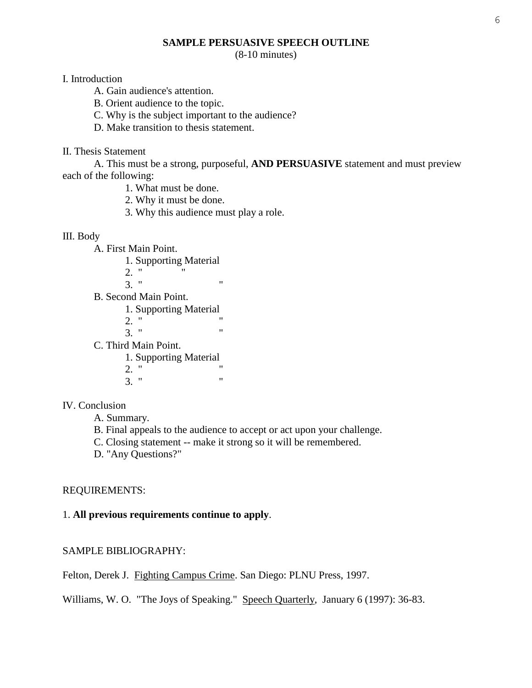## **SAMPLE PERSUASIVE SPEECH OUTLINE**

(8-10 minutes)

#### I. Introduction

- A. Gain audience's attention.
- B. Orient audience to the topic.
- C. Why is the subject important to the audience?
- D. Make transition to thesis statement.

#### II. Thesis Statement

A. This must be a strong, purposeful, **AND PERSUASIVE** statement and must preview each of the following:

- 1. What must be done.
- 2. Why it must be done.
- 3. Why this audience must play a role.

#### III. Body

A. First Main Point.

- 1. Supporting Material
- $2.$  "
- $3.$  "  $"$
- B. Second Main Point.
	- 1. Supporting Material
	- $\frac{2.}{2}$  "  $3.$  "

C. Third Main Point.

1. Supporting Material

2. "  $\frac{1}{2}$  "  $3.$  "

## IV. Conclusion

- A. Summary.
- B. Final appeals to the audience to accept or act upon your challenge.
- C. Closing statement -- make it strong so it will be remembered.
- D. "Any Questions?"

## REQUIREMENTS:

## 1. **All previous requirements continue to apply**.

## SAMPLE BIBLIOGRAPHY:

Felton, Derek J. Fighting Campus Crime. San Diego: PLNU Press, 1997.

Williams, W. O. "The Joys of Speaking." Speech Quarterly, January 6 (1997): 36-83.